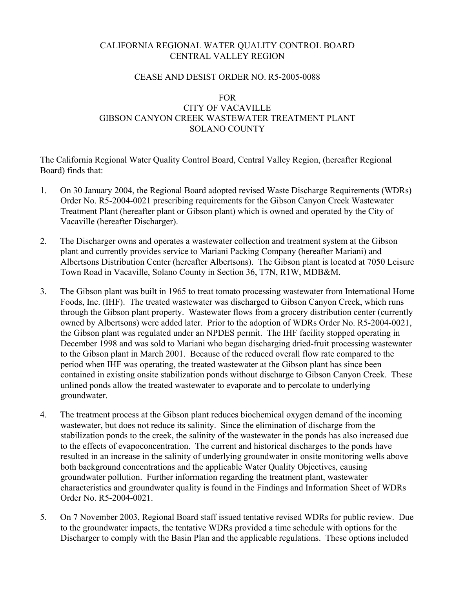# CALIFORNIA REGIONAL WATER QUALITY CONTROL BOARD CENTRAL VALLEY REGION

### CEASE AND DESIST ORDER NO. R5-2005-0088

## FOR CITY OF VACAVILLE GIBSON CANYON CREEK WASTEWATER TREATMENT PLANT SOLANO COUNTY

The California Regional Water Quality Control Board, Central Valley Region, (hereafter Regional Board) finds that:

- 1. On 30 January 2004, the Regional Board adopted revised Waste Discharge Requirements (WDRs) Order No. R5-2004-0021 prescribing requirements for the Gibson Canyon Creek Wastewater Treatment Plant (hereafter plant or Gibson plant) which is owned and operated by the City of Vacaville (hereafter Discharger).
- 2. The Discharger owns and operates a wastewater collection and treatment system at the Gibson plant and currently provides service to Mariani Packing Company (hereafter Mariani) and Albertsons Distribution Center (hereafter Albertsons). The Gibson plant is located at 7050 Leisure Town Road in Vacaville, Solano County in Section 36, T7N, R1W, MDB&M.
- 3. The Gibson plant was built in 1965 to treat tomato processing wastewater from International Home Foods, Inc. (IHF). The treated wastewater was discharged to Gibson Canyon Creek, which runs through the Gibson plant property. Wastewater flows from a grocery distribution center (currently owned by Albertsons) were added later. Prior to the adoption of WDRs Order No. R5-2004-0021, the Gibson plant was regulated under an NPDES permit. The IHF facility stopped operating in December 1998 and was sold to Mariani who began discharging dried-fruit processing wastewater to the Gibson plant in March 2001. Because of the reduced overall flow rate compared to the period when IHF was operating, the treated wastewater at the Gibson plant has since been contained in existing onsite stabilization ponds without discharge to Gibson Canyon Creek. These unlined ponds allow the treated wastewater to evaporate and to percolate to underlying groundwater.
- 4. The treatment process at the Gibson plant reduces biochemical oxygen demand of the incoming wastewater, but does not reduce its salinity. Since the elimination of discharge from the stabilization ponds to the creek, the salinity of the wastewater in the ponds has also increased due to the effects of evapoconcentration. The current and historical discharges to the ponds have resulted in an increase in the salinity of underlying groundwater in onsite monitoring wells above both background concentrations and the applicable Water Quality Objectives, causing groundwater pollution. Further information regarding the treatment plant, wastewater characteristics and groundwater quality is found in the Findings and Information Sheet of WDRs Order No. R5-2004-0021.
- 5. On 7 November 2003, Regional Board staff issued tentative revised WDRs for public review. Due to the groundwater impacts, the tentative WDRs provided a time schedule with options for the Discharger to comply with the Basin Plan and the applicable regulations. These options included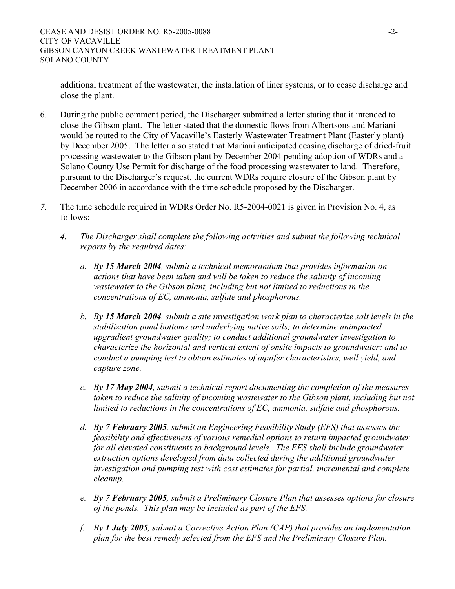additional treatment of the wastewater, the installation of liner systems, or to cease discharge and close the plant.

- 6. During the public comment period, the Discharger submitted a letter stating that it intended to close the Gibson plant. The letter stated that the domestic flows from Albertsons and Mariani would be routed to the City of Vacaville's Easterly Wastewater Treatment Plant (Easterly plant) by December 2005. The letter also stated that Mariani anticipated ceasing discharge of dried-fruit processing wastewater to the Gibson plant by December 2004 pending adoption of WDRs and a Solano County Use Permit for discharge of the food processing wastewater to land. Therefore, pursuant to the Discharger's request, the current WDRs require closure of the Gibson plant by December 2006 in accordance with the time schedule proposed by the Discharger.
- *7.* The time schedule required in WDRs Order No. R5-2004-0021 is given in Provision No. 4, as follows:
	- *4. The Discharger shall complete the following activities and submit the following technical reports by the required dates:* 
		- *a. By 15 March 2004, submit a technical memorandum that provides information on actions that have been taken and will be taken to reduce the salinity of incoming wastewater to the Gibson plant, including but not limited to reductions in the concentrations of EC, ammonia, sulfate and phosphorous.*
		- *b. By 15 March 2004, submit a site investigation work plan to characterize salt levels in the stabilization pond bottoms and underlying native soils; to determine unimpacted upgradient groundwater quality; to conduct additional groundwater investigation to characterize the horizontal and vertical extent of onsite impacts to groundwater; and to conduct a pumping test to obtain estimates of aquifer characteristics, well yield, and capture zone.*
		- *c. By 17 May 2004, submit a technical report documenting the completion of the measures taken to reduce the salinity of incoming wastewater to the Gibson plant, including but not limited to reductions in the concentrations of EC, ammonia, sulfate and phosphorous.*
		- *d. By 7 February 2005, submit an Engineering Feasibility Study (EFS) that assesses the feasibility and effectiveness of various remedial options to return impacted groundwater for all elevated constituents to background levels. The EFS shall include groundwater extraction options developed from data collected during the additional groundwater investigation and pumping test with cost estimates for partial, incremental and complete cleanup.*
		- *e. By 7 February 2005, submit a Preliminary Closure Plan that assesses options for closure of the ponds. This plan may be included as part of the EFS.*
		- *f. By 1 July 2005, submit a Corrective Action Plan (CAP) that provides an implementation plan for the best remedy selected from the EFS and the Preliminary Closure Plan.*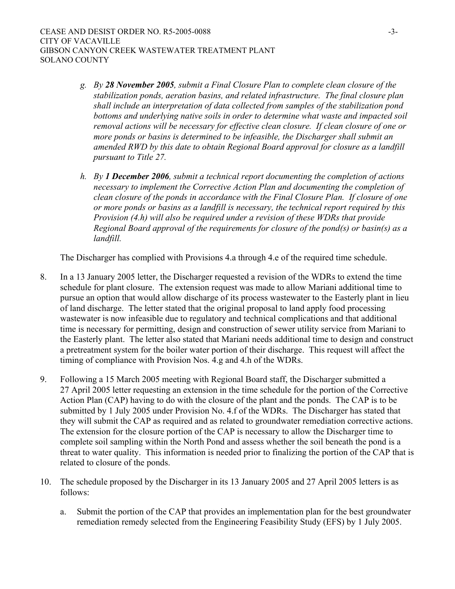- *g. By 28 November 2005, submit a Final Closure Plan to complete clean closure of the stabilization ponds, aeration basins, and related infrastructure. The final closure plan shall include an interpretation of data collected from samples of the stabilization pond bottoms and underlying native soils in order to determine what waste and impacted soil removal actions will be necessary for effective clean closure. If clean closure of one or more ponds or basins is determined to be infeasible, the Discharger shall submit an amended RWD by this date to obtain Regional Board approval for closure as a landfill pursuant to Title 27.*
- *h. By 1 December 2006, submit a technical report documenting the completion of actions necessary to implement the Corrective Action Plan and documenting the completion of clean closure of the ponds in accordance with the Final Closure Plan. If closure of one or more ponds or basins as a landfill is necessary, the technical report required by this Provision (4.h) will also be required under a revision of these WDRs that provide Regional Board approval of the requirements for closure of the pond(s) or basin(s) as a landfill.*

The Discharger has complied with Provisions 4.a through 4.e of the required time schedule.

- 8. In a 13 January 2005 letter, the Discharger requested a revision of the WDRs to extend the time schedule for plant closure. The extension request was made to allow Mariani additional time to pursue an option that would allow discharge of its process wastewater to the Easterly plant in lieu of land discharge. The letter stated that the original proposal to land apply food processing wastewater is now infeasible due to regulatory and technical complications and that additional time is necessary for permitting, design and construction of sewer utility service from Mariani to the Easterly plant. The letter also stated that Mariani needs additional time to design and construct a pretreatment system for the boiler water portion of their discharge. This request will affect the timing of compliance with Provision Nos. 4.g and 4.h of the WDRs.
- 9. Following a 15 March 2005 meeting with Regional Board staff, the Discharger submitted a 27 April 2005 letter requesting an extension in the time schedule for the portion of the Corrective Action Plan (CAP) having to do with the closure of the plant and the ponds. The CAP is to be submitted by 1 July 2005 under Provision No. 4.f of the WDRs. The Discharger has stated that they will submit the CAP as required and as related to groundwater remediation corrective actions. The extension for the closure portion of the CAP is necessary to allow the Discharger time to complete soil sampling within the North Pond and assess whether the soil beneath the pond is a threat to water quality. This information is needed prior to finalizing the portion of the CAP that is related to closure of the ponds.
- 10. The schedule proposed by the Discharger in its 13 January 2005 and 27 April 2005 letters is as follows:
	- a. Submit the portion of the CAP that provides an implementation plan for the best groundwater remediation remedy selected from the Engineering Feasibility Study (EFS) by 1 July 2005.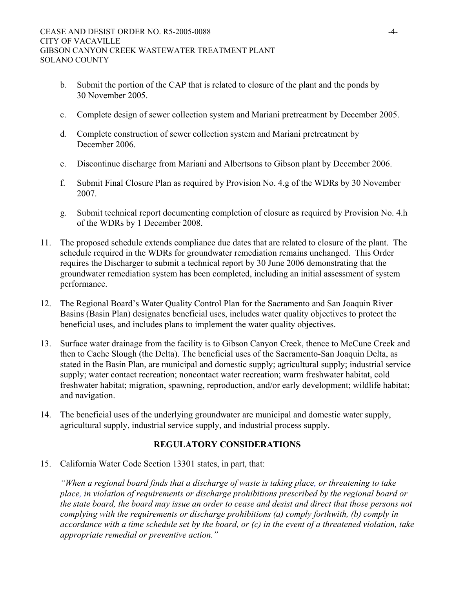- b. Submit the portion of the CAP that is related to closure of the plant and the ponds by 30 November 2005.
- c. Complete design of sewer collection system and Mariani pretreatment by December 2005.
- d. Complete construction of sewer collection system and Mariani pretreatment by December 2006.
- e. Discontinue discharge from Mariani and Albertsons to Gibson plant by December 2006.
- f. Submit Final Closure Plan as required by Provision No. 4.g of the WDRs by 30 November 2007.
- g. Submit technical report documenting completion of closure as required by Provision No. 4.h of the WDRs by 1 December 2008.
- 11. The proposed schedule extends compliance due dates that are related to closure of the plant. The schedule required in the WDRs for groundwater remediation remains unchanged. This Order requires the Discharger to submit a technical report by 30 June 2006 demonstrating that the groundwater remediation system has been completed, including an initial assessment of system performance.
- 12. The Regional Board's Water Quality Control Plan for the Sacramento and San Joaquin River Basins (Basin Plan) designates beneficial uses, includes water quality objectives to protect the beneficial uses, and includes plans to implement the water quality objectives.
- 13. Surface water drainage from the facility is to Gibson Canyon Creek, thence to McCune Creek and then to Cache Slough (the Delta). The beneficial uses of the Sacramento-San Joaquin Delta, as stated in the Basin Plan, are municipal and domestic supply; agricultural supply; industrial service supply; water contact recreation; noncontact water recreation; warm freshwater habitat, cold freshwater habitat; migration, spawning, reproduction, and/or early development; wildlife habitat; and navigation.
- 14. The beneficial uses of the underlying groundwater are municipal and domestic water supply, agricultural supply, industrial service supply, and industrial process supply.

# **REGULATORY CONSIDERATIONS**

15. California Water Code Section 13301 states, in part, that:

*"When a regional board finds that a discharge of waste is taking place, or threatening to take place, in violation of requirements or discharge prohibitions prescribed by the regional board or the state board, the board may issue an order to cease and desist and direct that those persons not complying with the requirements or discharge prohibitions (a) comply forthwith, (b) comply in accordance with a time schedule set by the board, or (c) in the event of a threatened violation, take appropriate remedial or preventive action."*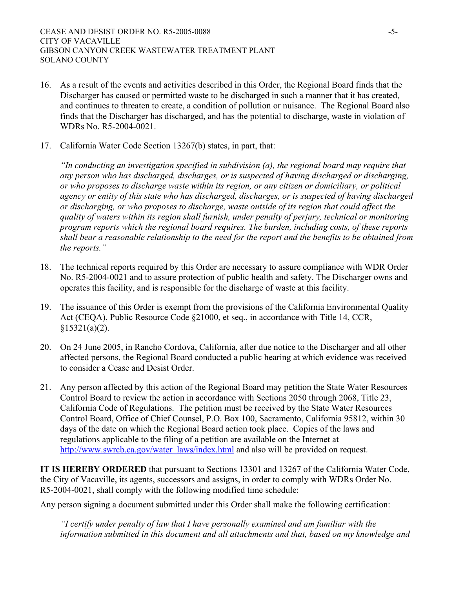- 16. As a result of the events and activities described in this Order, the Regional Board finds that the Discharger has caused or permitted waste to be discharged in such a manner that it has created, and continues to threaten to create, a condition of pollution or nuisance. The Regional Board also finds that the Discharger has discharged, and has the potential to discharge, waste in violation of WDRs No. R5-2004-0021.
- 17. California Water Code Section 13267(b) states, in part, that:

*"In conducting an investigation specified in subdivision (a), the regional board may require that any person who has discharged, discharges, or is suspected of having discharged or discharging, or who proposes to discharge waste within its region, or any citizen or domiciliary, or political agency or entity of this state who has discharged, discharges, or is suspected of having discharged or discharging, or who proposes to discharge, waste outside of its region that could affect the quality of waters within its region shall furnish, under penalty of perjury, technical or monitoring program reports which the regional board requires. The burden, including costs, of these reports shall bear a reasonable relationship to the need for the report and the benefits to be obtained from the reports."*

- 18. The technical reports required by this Order are necessary to assure compliance with WDR Order No. R5-2004-0021 and to assure protection of public health and safety. The Discharger owns and operates this facility, and is responsible for the discharge of waste at this facility.
- 19. The issuance of this Order is exempt from the provisions of the California Environmental Quality Act (CEQA), Public Resource Code §21000, et seq., in accordance with Title 14, CCR,  $$15321(a)(2)$ .
- 20. On 24 June 2005, in Rancho Cordova, California, after due notice to the Discharger and all other affected persons, the Regional Board conducted a public hearing at which evidence was received to consider a Cease and Desist Order.
- 21. Any person affected by this action of the Regional Board may petition the State Water Resources Control Board to review the action in accordance with Sections 2050 through 2068, Title 23, California Code of Regulations. The petition must be received by the State Water Resources Control Board, Office of Chief Counsel, P.O. Box 100, Sacramento, California 95812, within 30 days of the date on which the Regional Board action took place. Copies of the laws and regulations applicable to the filing of a petition are available on the Internet at http://www.swrcb.ca.gov/water\_laws/index.html and also will be provided on request.

**IT IS HEREBY ORDERED** that pursuant to Sections 13301 and 13267 of the California Water Code, the City of Vacaville, its agents, successors and assigns, in order to comply with WDRs Order No. R5-2004-0021, shall comply with the following modified time schedule:

Any person signing a document submitted under this Order shall make the following certification:

*"I certify under penalty of law that I have personally examined and am familiar with the information submitted in this document and all attachments and that, based on my knowledge and*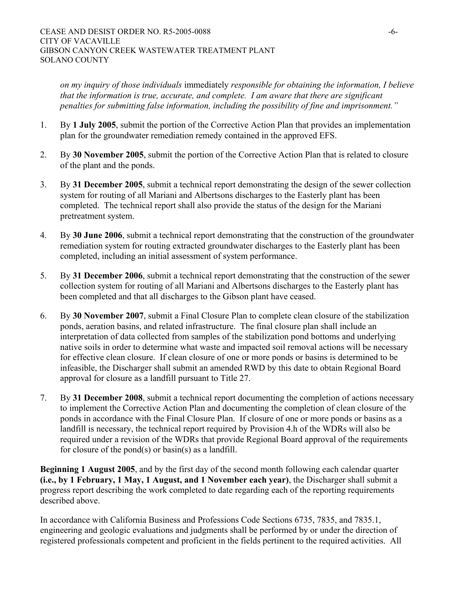*on my inquiry of those individuals* immediately *responsible for obtaining the information, I believe that the information is true, accurate, and complete. I am aware that there are significant penalties for submitting false information, including the possibility of fine and imprisonment."* 

- 1. By **1 July 2005**, submit the portion of the Corrective Action Plan that provides an implementation plan for the groundwater remediation remedy contained in the approved EFS.
- 2. By **30 November 2005**, submit the portion of the Corrective Action Plan that is related to closure of the plant and the ponds.
- 3. By **31 December 2005**, submit a technical report demonstrating the design of the sewer collection system for routing of all Mariani and Albertsons discharges to the Easterly plant has been completed. The technical report shall also provide the status of the design for the Mariani pretreatment system.
- 4. By **30 June 2006**, submit a technical report demonstrating that the construction of the groundwater remediation system for routing extracted groundwater discharges to the Easterly plant has been completed, including an initial assessment of system performance.
- 5. By **31 December 2006**, submit a technical report demonstrating that the construction of the sewer collection system for routing of all Mariani and Albertsons discharges to the Easterly plant has been completed and that all discharges to the Gibson plant have ceased.
- 6. By **30 November 2007**, submit a Final Closure Plan to complete clean closure of the stabilization ponds, aeration basins, and related infrastructure. The final closure plan shall include an interpretation of data collected from samples of the stabilization pond bottoms and underlying native soils in order to determine what waste and impacted soil removal actions will be necessary for effective clean closure. If clean closure of one or more ponds or basins is determined to be infeasible, the Discharger shall submit an amended RWD by this date to obtain Regional Board approval for closure as a landfill pursuant to Title 27.
- 7. By **31 December 2008**, submit a technical report documenting the completion of actions necessary to implement the Corrective Action Plan and documenting the completion of clean closure of the ponds in accordance with the Final Closure Plan. If closure of one or more ponds or basins as a landfill is necessary, the technical report required by Provision 4.h of the WDRs will also be required under a revision of the WDRs that provide Regional Board approval of the requirements for closure of the pond(s) or basin(s) as a landfill.

**Beginning 1 August 2005**, and by the first day of the second month following each calendar quarter **(i.e., by 1 February, 1 May, 1 August, and 1 November each year)**, the Discharger shall submit a progress report describing the work completed to date regarding each of the reporting requirements described above.

In accordance with California Business and Professions Code Sections 6735, 7835, and 7835.1, engineering and geologic evaluations and judgments shall be performed by or under the direction of registered professionals competent and proficient in the fields pertinent to the required activities. All